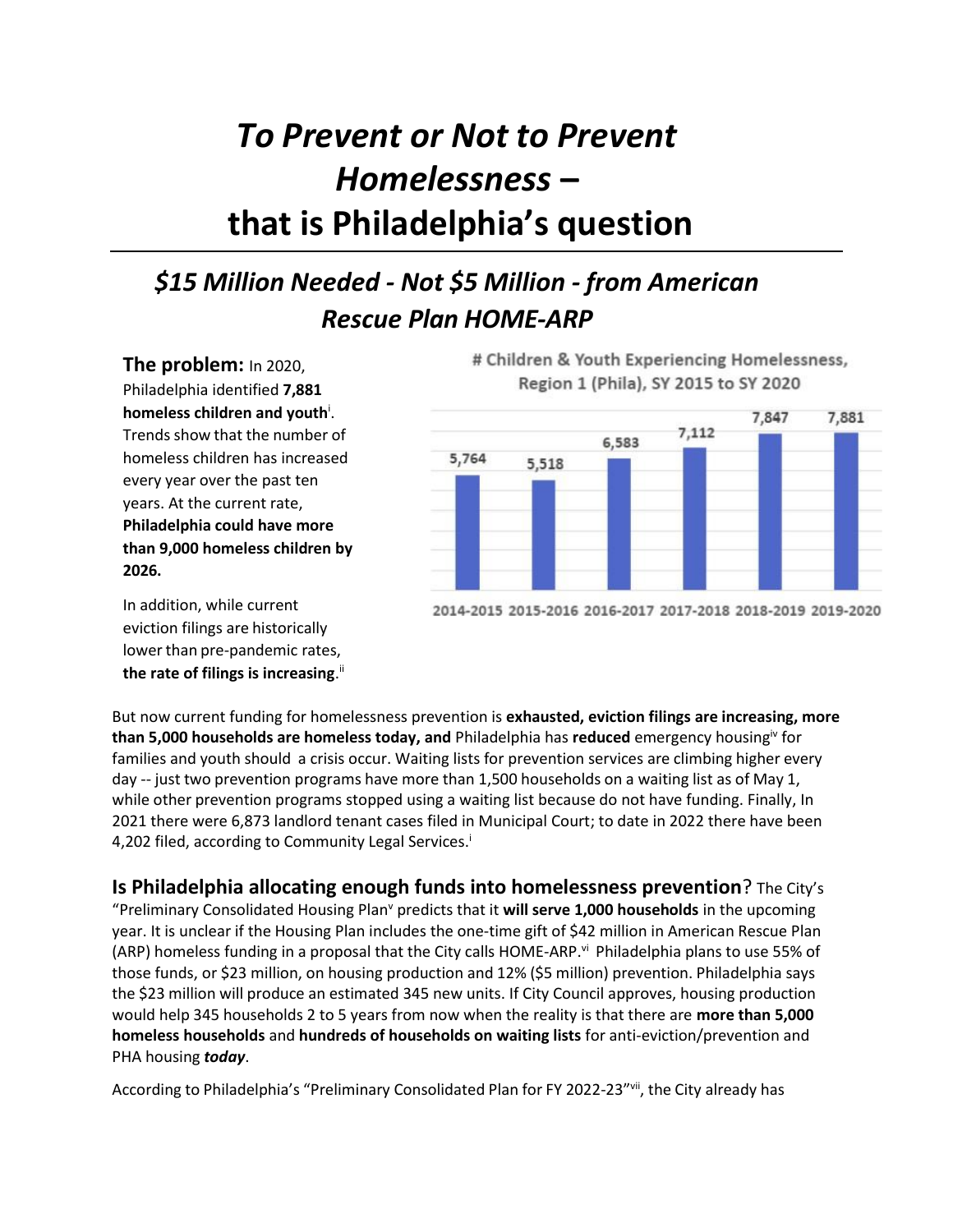## *To Prevent or Not to Prevent Homelessness* **– that is Philadelphia's question**

## *\$15 Million Needed - Not \$5 Million - from American Rescue Plan HOME-ARP*

**The problem:** In 2020, Philadelphia identified **7,881 homeless children and youth**<sup>i</sup> . Trends show that the number of homeless children has increased every year over the past ten years. At the current rate, **Philadelphia could have more than 9,000 homeless children by 2026.**

In addition, while current eviction filings are historically lower than pre-pandemic rates, the rate of filings is increasing.<sup>ii</sup> # Children & Youth Experiencing Homelessness, Region 1 (Phila), SY 2015 to SY 2020



2014-2015 2015-2016 2016-2017 2017-2018 2018-2019 2019-2020

But now current funding for homelessness prevention is **exhausted, eviction filings are increasing, more than 5,000 households are homeless today, and** Philadelphia has **reduced** emergency housingiv for families and youth should a crisis occur. Waiting lists for prevention services are climbing higher every day -- just two prevention programs have more than 1,500 households on a waiting list as of May 1, while other prevention programs stopped using a waiting list because do not have funding. Finally, In 2021 there were 6,873 landlord tenant cases filed in Municipal Court; to date in 2022 there have been 4,202 filed, according to Community Legal Services.<sup>i</sup>

**Is Philadelphia allocating enough funds into homelessness prevention**? The City's "Preliminary Consolidated Housing Plan<sup>v</sup> predicts that it **will serve 1,000 households** in the upcoming year. It is unclear if the Housing Plan includes the one-time gift of \$42 million in American Rescue Plan (ARP) homeless funding in a proposal that the City calls HOME-ARP.<sup>vi</sup> Philadelphia plans to use 55% of those funds, or \$23 million, on housing production and 12% (\$5 million) prevention. Philadelphia says the \$23 million will produce an estimated 345 new units. If City Council approves, housing production would help 345 households 2 to 5 years from now when the reality is that there are **more than 5,000 homeless households** and **hundreds of households on waiting lists** for anti-eviction/prevention and PHA housing *today*.

According to Philadelphia's "Preliminary Consolidated Plan for FY 2022-23"<sup>vii</sup>, the City already has